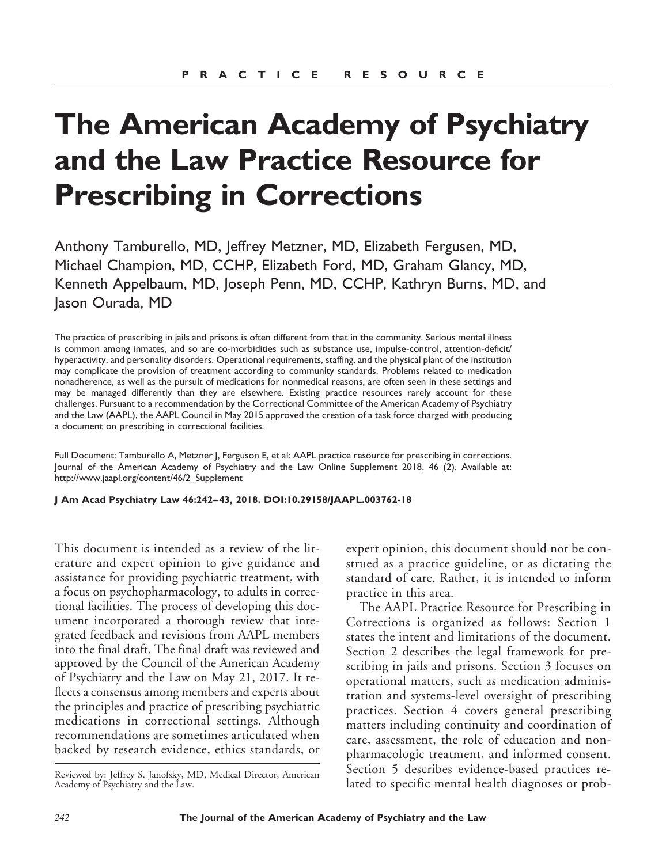## **The American Academy of Psychiatry and the Law Practice Resource for Prescribing in Corrections**

Anthony Tamburello, MD, Jeffrey Metzner, MD, Elizabeth Fergusen, MD, Michael Champion, MD, CCHP, Elizabeth Ford, MD, Graham Glancy, MD, Kenneth Appelbaum, MD, Joseph Penn, MD, CCHP, Kathryn Burns, MD, and Jason Ourada, MD

The practice of prescribing in jails and prisons is often different from that in the community. Serious mental illness is common among inmates, and so are co-morbidities such as substance use, impulse-control, attention-deficit/ hyperactivity, and personality disorders. Operational requirements, staffing, and the physical plant of the institution may complicate the provision of treatment according to community standards. Problems related to medication nonadherence, as well as the pursuit of medications for nonmedical reasons, are often seen in these settings and may be managed differently than they are elsewhere. Existing practice resources rarely account for these challenges. Pursuant to a recommendation by the Correctional Committee of the American Academy of Psychiatry and the Law (AAPL), the AAPL Council in May 2015 approved the creation of a task force charged with producing a document on prescribing in correctional facilities.

Full Document: Tamburello A, Metzner J, Ferguson E, et al: AAPL practice resource for prescribing in corrections. Journal of the American Academy of Psychiatry and the Law Online Supplement 2018, 46 (2). Available at: [http://www.jaapl.org/content/46/2\\_Supplement](http://www.jaapl.org/content/46/2_Supplement)

**J Am Acad Psychiatry Law 46:242– 43, 2018. DOI:10.29158/JAAPL.003762-18**

This document is intended as a review of the literature and expert opinion to give guidance and assistance for providing psychiatric treatment, with a focus on psychopharmacology, to adults in correctional facilities. The process of developing this document incorporated a thorough review that integrated feedback and revisions from AAPL members into the final draft. The final draft was reviewed and approved by the Council of the American Academy of Psychiatry and the Law on May 21, 2017. It reflects a consensus among members and experts about the principles and practice of prescribing psychiatric medications in correctional settings. Although recommendations are sometimes articulated when backed by research evidence, ethics standards, or expert opinion, this document should not be construed as a practice guideline, or as dictating the standard of care. Rather, it is intended to inform practice in this area.

The AAPL Practice Resource for Prescribing in Corrections is organized as follows: Section 1 states the intent and limitations of the document. Section 2 describes the legal framework for prescribing in jails and prisons. Section 3 focuses on operational matters, such as medication administration and systems-level oversight of prescribing practices. Section 4 covers general prescribing matters including continuity and coordination of care, assessment, the role of education and nonpharmacologic treatment, and informed consent. Section 5 describes evidence-based practices re-Reviewed by: Jeffrey S. Janofsky, MD, Medical Director, American<br>Academy of Psychiatry and the Law. <br>lated to specific mental health diagnoses or prob-

Academy of Psychiatry and the Law.